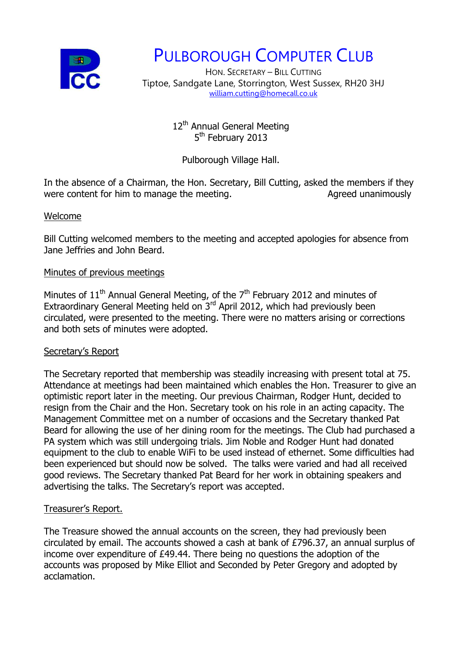

# PULBOROUGH COMPUTER CLUB

HON. SECRETARY – BILL CUTTING Tiptoe, Sandgate Lane, Storrington, West Sussex, RH20 3HJ [william.cutting@homecall.co.uk](mailto:william.cutting@homecall.co.uk)

> 12<sup>th</sup> Annual General Meeting 5<sup>th</sup> February 2013

Pulborough Village Hall.

In the absence of a Chairman, the Hon. Secretary, Bill Cutting, asked the members if they were content for him to manage the meeting. The meeting and all algorithm and agreed unanimously

# Welcome

Bill Cutting welcomed members to the meeting and accepted apologies for absence from Jane Jeffries and John Beard.

## Minutes of previous meetings

Minutes of  $11<sup>th</sup>$  Annual General Meeting, of the  $7<sup>th</sup>$  February 2012 and minutes of Extraordinary General Meeting held on 3<sup>rd</sup> April 2012, which had previously been circulated, were presented to the meeting. There were no matters arising or corrections and both sets of minutes were adopted.

## Secretary's Report

The Secretary reported that membership was steadily increasing with present total at 75. Attendance at meetings had been maintained which enables the Hon. Treasurer to give an optimistic report later in the meeting. Our previous Chairman, Rodger Hunt, decided to resign from the Chair and the Hon. Secretary took on his role in an acting capacity. The Management Committee met on a number of occasions and the Secretary thanked Pat Beard for allowing the use of her dining room for the meetings. The Club had purchased a PA system which was still undergoing trials. Jim Noble and Rodger Hunt had donated equipment to the club to enable WiFi to be used instead of ethernet. Some difficulties had been experienced but should now be solved. The talks were varied and had all received good reviews. The Secretary thanked Pat Beard for her work in obtaining speakers and advertising the talks. The Secretary's report was accepted.

## Treasurer's Report.

The Treasure showed the annual accounts on the screen, they had previously been circulated by email. The accounts showed a cash at bank of £796.37, an annual surplus of income over expenditure of £49.44. There being no questions the adoption of the accounts was proposed by Mike Elliot and Seconded by Peter Gregory and adopted by acclamation.